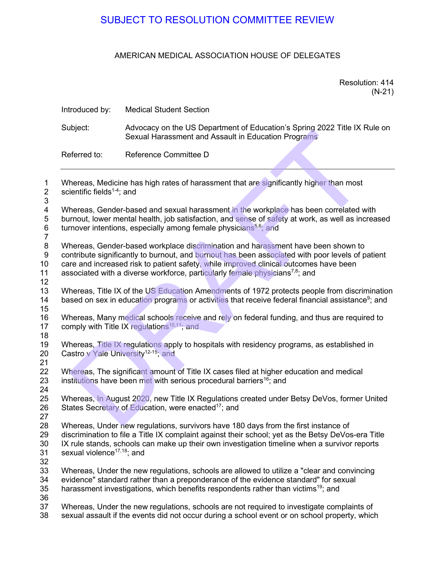## AMERICAN MEDICAL ASSOCIATION HOUSE OF DELEGATES

| Resolution: 414 |  |
|-----------------|--|
| $(N-21)$        |  |

|                                                                                                                                                                                                                                                                             |                                                 | SUBJECT TO RESOLUTION COMMITTEE REVIEW                                                                                                                                                                                                                                                                                                                                    |                             |
|-----------------------------------------------------------------------------------------------------------------------------------------------------------------------------------------------------------------------------------------------------------------------------|-------------------------------------------------|---------------------------------------------------------------------------------------------------------------------------------------------------------------------------------------------------------------------------------------------------------------------------------------------------------------------------------------------------------------------------|-----------------------------|
|                                                                                                                                                                                                                                                                             |                                                 | AMERICAN MEDICAL ASSOCIATION HOUSE OF DELEGATES                                                                                                                                                                                                                                                                                                                           |                             |
|                                                                                                                                                                                                                                                                             |                                                 |                                                                                                                                                                                                                                                                                                                                                                           | Resolution: 414<br>$(N-21)$ |
| $\mathbf{1}$<br>$\mathbf{2}$<br>3<br>4<br>$\,$ 5 $\,$<br>$\,6$<br>$\overline{7}$<br>$\bf 8$<br>$\boldsymbol{9}$<br>10<br>11<br>12<br>13<br>14<br>15<br>16<br>17<br>18<br>19<br>20<br>21<br>22<br>23<br>24<br>25<br>26<br>27<br>28<br>29<br>30<br>31<br>32<br>33<br>34<br>35 | Introduced by:                                  | <b>Medical Student Section</b>                                                                                                                                                                                                                                                                                                                                            |                             |
|                                                                                                                                                                                                                                                                             | Subject:                                        | Advocacy on the US Department of Education's Spring 2022 Title IX Rule on<br>Sexual Harassment and Assault in Education Programs                                                                                                                                                                                                                                          |                             |
|                                                                                                                                                                                                                                                                             | Referred to:                                    | Reference Committee D                                                                                                                                                                                                                                                                                                                                                     |                             |
|                                                                                                                                                                                                                                                                             | scientific fields $1-4$ ; and                   | Whereas, Medicine has high rates of harassment that are significantly higher than most                                                                                                                                                                                                                                                                                    |                             |
|                                                                                                                                                                                                                                                                             |                                                 | Whereas, Gender-based and sexual harassment in the workplace has been correlated with<br>burnout, lower mental health, job satisfaction, and sense of safety at work, as well as increased<br>turnover intentions, especially among female physicians <sup>5,6</sup> ; and                                                                                                |                             |
|                                                                                                                                                                                                                                                                             |                                                 | Whereas, Gender-based workplace discrimination and harassment have been shown to<br>contribute significantly to burnout, and burnout has been associated with poor levels of patient<br>care and increased risk to patient safety, while improved clinical outcomes have been<br>associated with a diverse workforce, particularly female physicians <sup>7,8</sup> ; and |                             |
|                                                                                                                                                                                                                                                                             |                                                 | Whereas, Title IX of the US Education Amendments of 1972 protects people from discrimination<br>based on sex in education programs or activities that receive federal financial assistance <sup>9</sup> ; and                                                                                                                                                             |                             |
|                                                                                                                                                                                                                                                                             |                                                 | Whereas, Many medical schools receive and rely on federal funding, and thus are required to<br>comply with Title IX regulations $10,11$ ; and                                                                                                                                                                                                                             |                             |
|                                                                                                                                                                                                                                                                             | Castro v Yale University <sup>12-15</sup> ; and | Whereas, Title IX regulations apply to hospitals with residency programs, as established in                                                                                                                                                                                                                                                                               |                             |
|                                                                                                                                                                                                                                                                             |                                                 | Whereas, The significant amount of Title IX cases filed at higher education and medical<br>institutions have been met with serious procedural barriers <sup>16</sup> ; and                                                                                                                                                                                                |                             |
|                                                                                                                                                                                                                                                                             |                                                 | Whereas, In August 2020, new Title IX Regulations created under Betsy DeVos, former United<br>States Secretary of Education, were enacted <sup>17</sup> ; and                                                                                                                                                                                                             |                             |
|                                                                                                                                                                                                                                                                             | sexual violence <sup>17,18</sup> ; and          | Whereas, Under new regulations, survivors have 180 days from the first instance of<br>discrimination to file a Title IX complaint against their school; yet as the Betsy DeVos-era Title<br>IX rule stands, schools can make up their own investigation timeline when a survivor reports                                                                                  |                             |
|                                                                                                                                                                                                                                                                             |                                                 | Whereas, Under the new regulations, schools are allowed to utilize a "clear and convincing"<br>evidence" standard rather than a preponderance of the evidence standard" for sexual<br>harassment investigations, which benefits respondents rather than victims <sup>19</sup> ; and                                                                                       |                             |
| 36<br>37<br>38                                                                                                                                                                                                                                                              |                                                 | Whereas, Under the new regulations, schools are not required to investigate complaints of<br>sexual assault if the events did not occur during a school event or on school property, which                                                                                                                                                                                |                             |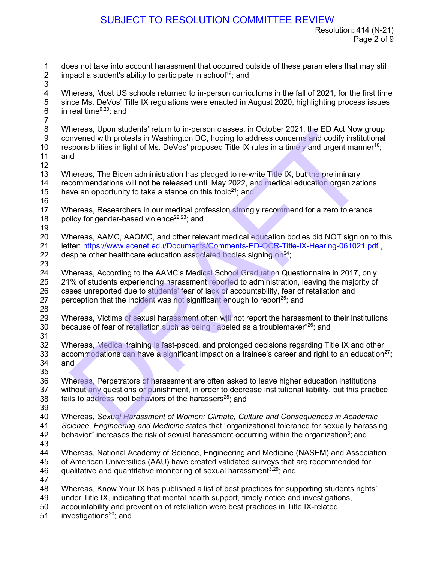1 does not take into account harassment that occurred outside of these parameters that may still<br>2 impact a student's ability to participate in school<sup>19</sup>: and impact a student's ability to participate in school<sup>19</sup>; and 3 4 Whereas, Most US schools returned to in-person curriculums in the fall of 2021, for the first time<br>5 since Ms. DeVos' Title IX regulations were enacted in August 2020, highlighting process issues 5 since Ms. DeVos' Title IX regulations were enacted in August 2020, highlighting process issues  $6$  in real time<sup>9,20</sup>; and in real time $9,20$ ; and  $\frac{7}{8}$ Whereas, Upon students' return to in-person classes, in October 2021, the ED Act Now group 9 convened with protests in Washington DC, hoping to address concerns and codify institutional 10 responsibilities in light of Ms. DeVos' proposed Title IX rules in a timely and urgent manner<sup>18</sup>; 11 and 12 13 Whereas, The Biden administration has pledged to re-write Title IX, but the preliminary 14 recommendations will not be released until May 2022, and medical education organizations 15 have an opportunity to take a stance on this topic<sup>21</sup>; and 16 17 Whereas, Researchers in our medical profession strongly recommend for a zero tolerance 18 policy for gender-based violence<sup>22,23</sup>; and 19 20 Whereas, AAMC, AAOMC, and other relevant medical education bodies did NOT sign on to this 21 letter: https://www.acenet.edu/Documents/Comments-ED-OCR-Title-IX-Hearing-061021.pdf,<br>22 despite other healthcare education associated bodies signing on<sup>24</sup>; despite other healthcare education associated bodies signing on $^{24}$ . 23 24 Whereas, According to the AAMC's Medical School Graduation Questionnaire in 2017, only 25 21% of students experiencing harassment reported to administration, leaving the majority of 26 cases unreported due to students' fear of lack of accountability, fear of retaliation and 27 perception that the incident was not significant enough to report<sup>25</sup>; and 28 Whereas, Victims of sexual harassment often will not report the harassment to their institutions 30 because of fear of retaliation such as being "labeled as a troublemaker" $^{26}$ ; and  $\frac{31}{32}$ Whereas, Medical training is fast-paced, and prolonged decisions regarding Title IX and other 33 accommodations can have a significant impact on a trainee's career and right to an education<sup>27</sup>; 34 and 35 36 Whereas, Perpetrators of harassment are often asked to leave higher education institutions 37 without any questions or punishment, in order to decrease institutional liability, but this practice 38 fails to address root behaviors of the harassers<sup>28</sup>; and 39 40 Whereas, *Sexual Harassment of Women: Climate, Culture and Consequences in Academic*  41 *Science, Engineering and Medicine* states that "organizational tolerance for sexually harassing<br>42 behavior" increases the risk of sexual harassment occurring within the organization<sup>3</sup>; and behavior" increases the risk of sexual harassment occurring within the organization<sup>3</sup>; and 43 44 Whereas, National Academy of Science, Engineering and Medicine (NASEM) and Association<br>45 of American Universities (AAU) have created validated surveys that are recommended for 45 of American Universities (AAU) have created validated surveys that are recommended for 46 qualitative and quantitative monitoring of sexual harassment<sup>3,29</sup>; and 47 48 Whereas, Know Your IX has published a list of best practices for supporting students rights' 49 under Title IX, indicating that mental health support, timely notice and investigations, 50 accountability and prevention of retaliation were best practices in Title IX-related  $51$  investigations<sup>30</sup>; and investigations $30$ ; and SUBJECT TO RESOLUTION COMMITTEE REVIEW<br>Resolution: 41<br>Pages not take into account harassment that occurred outside of these parameters that m<br>pages not take into account harassment that occurred outside of these parameter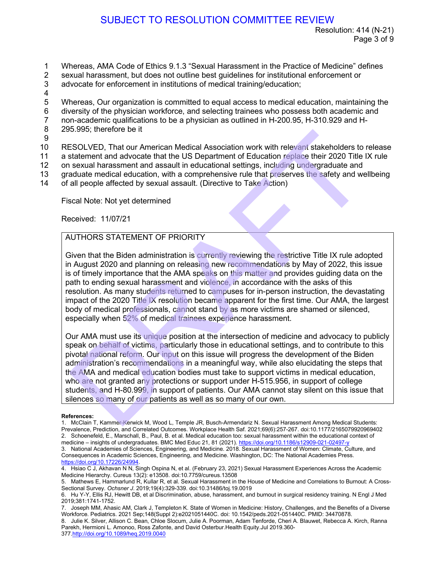- 1 Whereas, AMA Code of Ethics 9.1.3 "Sexual Harassment in the Practice of Medicine" defines<br>2 sexual harassment, but does not outline best quidelines for institutional enforcement or
- 2 sexual harassment, but does not outline best guidelines for institutional enforcement or
- 3 advocate for enforcement in institutions of medical training/education;
- 4
- 5 Whereas, Our organization is committed to equal access to medical education, maintaining the
- 6 diversity of the physician workforce, and selecting trainees who possess both academic and<br>7 non-academic qualifications to be a physician as outlined in H-200.95. H-310.929 and H-
- 7 non-academic qualifications to be a physician as outlined in H-200.95, H-310.929 and H-<br>8 295.995: therefore be it
- 295.995; therefore be it
- 9

10 RESOLVED, That our American Medical Association work with relevant stakeholders to release

11 a statement and advocate that the US Department of Education replace their 2020 Title IX rule

12 on sexual harassment and assault in educational settings, including undergraduate and

- 13 graduate medical education, with a comprehensive rule that preserves the safety and wellbeing
- 14 of all people affected by sexual assault. (Directive to Take Action)

Fiscal Note: Not yet determined

Received: 11/07/21

### AUTHORS STATEMENT OF PRIORITY

Given that the Biden administration is currently reviewing the restrictive Title IX rule adopted in August 2020 and planning on releasing new recommendations by May of 2022, this issue is of timely importance that the AMA speaks on this matter and provides guiding data on the path to ending sexual harassment and violence, in accordance with the asks of this resolution. As many students returned to campuses for in-person instruction, the devastating impact of the 2020 Title IX resolution became apparent for the first time. Our AMA, the largest body of medical professionals, cannot stand by as more victims are shamed or silenced, especially when 52% of medical trainees experience harassment. SUBJECT TO RESOLUTION COMMITTEE REVIEW<br>
Resolution: 41<br>
Pag<br>
Resolution: 41<br>
Pag<br>
News and ansassment, but does not outline best guidelines for institutional enforcement or<br>
xual harassment, but does not outline best guide

Our AMA must use its unique position at the intersection of medicine and advocacy to publicly speak on behalf of victims, particularly those in educational settings, and to contribute to this pivotal national reform. Our input on this issue will progress the development of the Biden administration's recommendations in a meaningful way, while also elucidating the steps that the AMA and medical education bodies must take to support victims in medical education, who are not granted any protections or support under H-515.956, in support of college students, and H-80.999, in support of patients. Our AMA cannot stay silent on this issue that silences so many of our patients as well as so many of our own.

### **References:**

1. McClain T, Kammer-Kerwick M, Wood L, Temple JR, Busch-Armendariz N. Sexual Harassment Among Medical Students: Prevalence, Prediction, and Correlated Outcomes. Workplace Health Saf. 2021;69(6):257-267. doi:10.1177/2165079920969402 2. Schoenefeld, E., Marschall, B., Paul, B. et al. Medical education too: sexual harassment within the educational context of medicine – insights of undergraduates. BMC Med Educ 21, 81 (2021)[. https://doi.org/10.1186/s12909-021-02497-y](https://doi.org/10.1186/s12909-021-02497-y)

3. National Academies of Sciences, Engineering, and Medicine. 2018. Sexual Harassment of Women: Climate, Culture, and Consequences in Academic Sciences, Engineering, and Medicine. Washington, DC: The National Academies Press. [https://doi.org/10.17226/24994.](https://doi.org/10.17226/24994)

<sup>4.</sup> Hsiao C J, Akhavan N N, Singh Ospina N, et al. (February 23, 2021) Sexual Harassment Experiences Across the Academic Medicine Hierarchy. Cureus 13(2): e13508. doi:10.7759/cureus.13508

<sup>5.</sup> Mathews E, Hammarlund R, Kullar R, et al. Sexual Harassment in the House of Medicine and Correlations to Burnout: A Cross-Sectional Survey. *Ochsner J*. 2019;19(4):329-339. doi:10.31486/toj.19.0019

<sup>6.</sup> Hu Y-Y, Ellis RJ, Hewitt DB, et al Discrimination, abuse, harassment, and burnout in surgical residency training. N Engl J Med 2019;381:1741-1752.

<sup>7.</sup> Joseph MM, Ahasic AM, Clark J, Templeton K. State of Women in Medicine: History, Challenges, and the Benefits of a Diverse Workforce. Pediatrics. 2021 Sep;148(Suppl 2):e2021051440C. doi: 10.1542/peds.2021-051440C. PMID: 34470878.

<sup>8.</sup> Julie K. Silver, Allison C. Bean, Chloe Slocum, Julie A. Poorman, Adam Tenforde, Cheri A. Blauwet, Rebecca A. Kirch, Ranna Parekh, Hermioni L. Amonoo, Ross Zafonte, and David Osterbur.Health Equity.Jul 2019.360- 377[.http://doi.org/10.1089/heq.2019.0040](https://doi.org/10.1089/heq.2019.0040)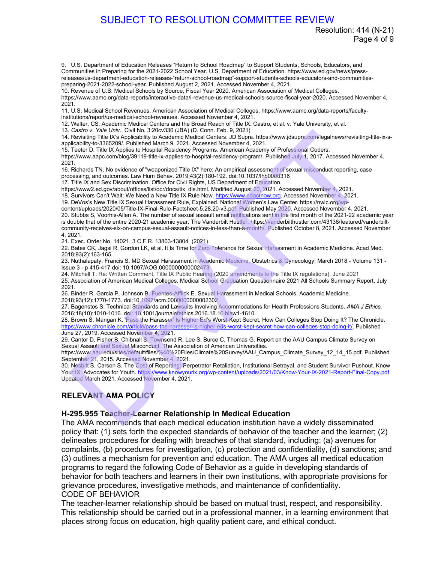Resolution: 414 (N-21) Page 4 of 9

9. U.S. Department of Education Releases "Return to School Roadmap" to Support Students, Schools, Educators, and Communities in Preparing for the 2021-2022 School Year. U.S. Department of Education. https://www.ed.gov/news/pressreleases/us-department-education-releases-"return-school-roadmap"-support-students-schools-educators-and-communitiespreparing-2021-2022-school-year. Published August 2, 2021. Accessed November 4, 2021. SUBJECT TO RESOLUTION COMMITTEE REVIEW Resolution: 4<br>
1983<br>
U.S. [D](https://www.knowyourix.org/wp-content/uploads/2021/03/Know-Your-IX-2021-Report-Final-Copy.pdf)esembent of Education Research Resolution School Readman' to Support Sucessi and Sucession, education and<br>
U.S. Desembent of Education Research Resolution

10. Revenue of U.S. Medical Schools by Source, Fiscal Year 2020. American Association of Medical Colleges.

https://www.aamc.org/data-reports/interactive-data/i-revenue-us-medical-schools-source-fiscal-year-2020. Accessed November 4, 2021.

11. U.S. Medical School Revenues. American Association of Medical Colleges. https://www.aamc.org/data-reports/facultyinstitutions/report/us-medical-school-revenues. Accessed November 4, 2021.

12. Walter, CS. Academic Medical Centers and the Broad Reach of Title IX: Castro, et al. v. Yale University, et al.

13. *Castro v. Yale Univ.*, Civil No. 3:20cv330 (JBA) (D. Conn. Feb. 9, 2021)

14. Revisiting Title IX's Applicability to Academic Medical Centers. JD Supra. https://www.jdsupra.com/legalnews/revisiting-title-ix-sapplicability-to-3365209/. Published March 9, 2021. Accessed November 4, 2021.

15. Teeter D. Title IX Applies to Hospital Residency Programs. American Academy of Professional Coders.

https://www.aapc.com/blog/39119-title-ix-applies-to-hospital-residency-program/. Published July 1, 2017. Accessed November 4, 2021.

16. Richards TN. No evidence of "weaponized Title IX" here: An empirical assessment of sexual misconduct reporting, case processing, and outcomes. Law Hum Behav. 2019;43(2):180-192. doi:10.1037/lhb0000316

17. Title IX and Sex Discrimination. Office for Civil Rights, US Department of Education.

https://www2.ed.gov/about/offices/list/ocr/docs/tix\_dis.html. Modified August 20, 2021. Accessed November 4, 2021.

18. Survivors Can't Wait: We Need a New Title IX Rule Now. https://www.edactnow.org. Accessed November 4, 2021.

19. DeVos's New Title IX Sexual Harassment Rule, Explained. National Women's Law Center. https://nwlc.org/wp-

content/uploads/2020/05/Title-IX-Final-Rule-Factsheet-5.28.20-v3.pdf. Published May 2020. Accessed November 4, 2021. 20. Stubbs S, Voorhis-Allen A. The number of sexual assault email notifications sent in the first month of the 2021-22 academic year is double that of the entire 2020-21 academic year. The Vanderbilt Hustler. https://vanderbilthustler.com/43138/featured/vanderbilt-

community-receives-six-on-campus-sexual-assault-notices-in-less-than-a-month/. Published October 8, 2021. Accessed November 4, 2021.

21. Exec. Order No. 14021, 3 C.F.R. 13803-13804 (2021).

22. Bates CK, Jagsi R, Gordon LK, et al. It Is Time for Zero Tolerance for Sexual Harassment in Academic Medicine. Acad Med. 2018;93(2):163-165.

23. Nuthalapaty, Francis S. MD Sexual Harassment in Academic Medicine, Obstetrics & Gynecology: March 2018 - Volume 131 - Issue 3 - p 415-417 doi: 10.1097/AOG.0000000000002473

24. Mitchell T. Re: Written Comment: Title IX Public Hearing (2020 amendments to the Title IX regulations). June 2021

25. Association of American Medical Colleges. Medical School Graduation Questionnaire 2021 All Schools Summary Report. July 2021.

26. Binder R, Garcia P, Johnson B, Fuentes-Afflick E. Sexual Harassment in Medical Schools. Academic Medicine. 2018;93(12):1770-1773. doi:10.1097/acm.0000000000002302.

27. Bagenstos S. Technical Standards and Lawsuits Involving Accommodations for Health Professions Students. *AMA J Ethics.* 2016;18(10):1010-1016. doi: 10.1001/journalofethics.2016.18.10.hlaw1-1610.

28. Brown S, Mangan K. 'Pass the Harasser' Is Higher Ed's Worst-Kept Secret. How Can Colleges Stop Doing It? The Chronicle. https://www.chronicle.com/article/pass-the-harasser-is-higher-eds-worst-kept-secret-how-can-colleges-stop-doing-it/. Published June 27, 2019. Accessed November 4, 2021.

29. Cantor D, Fisher B, Chibnall S, Townsend R, Lee S, Burce C, Thomas G. Report on the AAU Campus Climate Survey on Sexual Assault and Sexual Misconduct. The Association of American Universities.

https://www.aau.edu/sites/default/files/%40%20Files/Climate%20Survey/AAU\_Campus\_Climate\_Survey\_12\_14\_15.pdf. Published September 21, 2015. Accessed November 4, 2021.

30. Nesbitt S, Carson S. The Cost of Reporting: Perpetrator Retaliation, Institutional Betrayal, and Student Survivor Pushout. Know Your IX; Advocates for Youth. https://www.knowyourix.org/wp-content/uploads/2021/03/Know-Your-IX-2021-Report-Final-Copy.pdf Updated March 2021. Accessed November 4, 2021.

## **RELEVANT AMA POLICY**

### **H-295.955 Teacher-Learner Relationship In Medical Education**

The AMA recommends that each medical education institution have a widely disseminated policy that: (1) sets forth the expected standards of behavior of the teacher and the learner; (2) delineates procedures for dealing with breaches of that standard, including: (a) avenues for complaints, (b) procedures for investigation, (c) protection and confidentiality, (d) sanctions; and (3) outlines a mechanism for prevention and education. The AMA urges all medical education programs to regard the following Code of Behavior as a guide in developing standards of behavior for both teachers and learners in their own institutions, with appropriate provisions for grievance procedures, investigative methods, and maintenance of confidentiality. CODE OF BEHAVIOR

The teacher-learner relationship should be based on mutual trust, respect, and responsibility. This relationship should be carried out in a professional manner, in a learning environment that places strong focus on education, high quality patient care, and ethical conduct.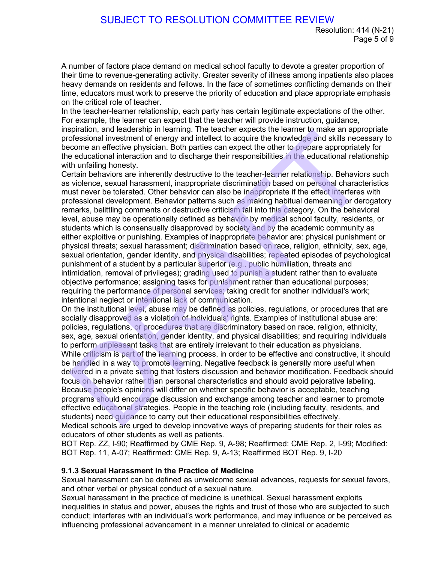A number of factors place demand on medical school faculty to devote a greater proportion of their time to revenue-generating activity. Greater severity of illness among inpatients also places heavy demands on residents and fellows. In the face of sometimes conflicting demands on their time, educators must work to preserve the priority of education and place appropriate emphasis on the critical role of teacher.

In the teacher-learner relationship, each party has certain legitimate expectations of the other. For example, the learner can expect that the teacher will provide instruction, guidance, inspiration, and leadership in learning. The teacher expects the learner to make an appropriate professional investment of energy and intellect to acquire the knowledge and skills necessary to become an effective physician. Both parties can expect the other to prepare appropriately for the educational interaction and to discharge their responsibilities in the educational relationship with unfailing honesty.

Certain behaviors are inherently destructive to the teacher-learner relationship. Behaviors such as violence, sexual harassment, inappropriate discrimination based on personal characteristics must never be tolerated. Other behavior can also be inappropriate if the effect interferes with professional development. Behavior patterns such as making habitual demeaning or derogatory remarks, belittling comments or destructive criticism fall into this category. On the behavioral level, abuse may be operationally defined as behavior by medical school faculty, residents, or students which is consensually disapproved by society and by the academic community as either exploitive or punishing. Examples of inappropriate behavior are: physical punishment or physical threats; sexual harassment; discrimination based on race, religion, ethnicity, sex, age, sexual orientation, gender identity, and physical disabilities; repeated episodes of psychological punishment of a student by a particular superior (e.g., public humiliation, threats and intimidation, removal of privileges); grading used to punish a student rather than to evaluate objective performance; assigning tasks for punishment rather than educational purposes; requiring the performance of personal services; taking credit for another individual's work; intentional neglect or intentional lack of communication. SUBJECT TO RESOLUTION COMMITTEE REVIEW<br>Pag<br>rammber of factors place demand on medical school faculty to devote a greater proportine<br>in the time to revenue-generating activity. Greater severally of filmess among inpatients

On the institutional level, abuse may be defined as policies, regulations, or procedures that are socially disapproved as a violation of individuals' rights. Examples of institutional abuse are: policies, regulations, or procedures that are discriminatory based on race, religion, ethnicity, sex, age, sexual orientation, gender identity, and physical disabilities; and requiring individuals to perform unpleasant tasks that are entirely irrelevant to their education as physicians. While criticism is part of the learning process, in order to be effective and constructive, it should be handled in a way to promote learning. Negative feedback is generally more useful when delivered in a private setting that fosters discussion and behavior modification. Feedback should focus on behavior rather than personal characteristics and should avoid pejorative labeling. Because people's opinions will differ on whether specific behavior is acceptable, teaching programs should encourage discussion and exchange among teacher and learner to promote effective educational strategies. People in the teaching role (including faculty, residents, and students) need guidance to carry out their educational responsibilities effectively. Medical schools are urged to develop innovative ways of preparing students for their roles as educators of other students as well as patients.

BOT Rep. ZZ, I-90; Reaffirmed by CME Rep. 9, A-98; Reaffirmed: CME Rep. 2, I-99; Modified: BOT Rep. 11, A-07; Reaffirmed: CME Rep. 9, A-13; Reaffirmed BOT Rep. 9, I-20

# **9.1.3 Sexual Harassment in the Practice of Medicine**

Sexual harassment can be defined as unwelcome sexual advances, requests for sexual favors, and other verbal or physical conduct of a sexual nature.

Sexual harassment in the practice of medicine is unethical. Sexual harassment exploits inequalities in status and power, abuses the rights and trust of those who are subjected to such conduct; interferes with an individual's work performance, and may influence or be perceived as influencing professional advancement in a manner unrelated to clinical or academic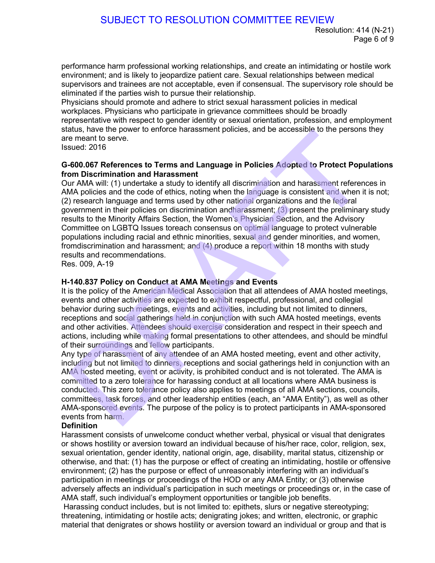performance harm professional working relationships, and create an intimidating or hostile work environment; and is likely to jeopardize patient care. Sexual relationships between medical supervisors and trainees are not acceptable, even if consensual. The supervisory role should be eliminated if the parties wish to pursue their relationship.

Physicians should promote and adhere to strict sexual harassment policies in medical workplaces. Physicians who participate in grievance committees should be broadly representative with respect to gender identity or sexual orientation, profession, and employment status, have the power to enforce harassment policies, and be accessible to the persons they are meant to serve.

Issued: 2016

### **G-600.067 References to Terms and Language in Policies Adopted to Protect Populations from Discrimination and Harassment**

Our AMA will: (1) undertake a study to identify all discrimination and harassment references in AMA policies and the code of ethics, noting when the language is consistent and when it is not; (2) research language and terms used by other national organizations and the federal government in their policies on discrimination andharassment; (3) present the preliminary study results to the Minority Affairs Section, the Women's Physician Section, and the Advisory Committee on LGBTQ Issues toreach consensus on optimal language to protect vulnerable populations including racial and ethnic minorities, sexual and gender minorities, and women, fromdiscrimination and harassment; and (4) produce a report within 18 months with study results and recommendations. SUBJECT TO RESOLUTION COMMITTEE REVIEW<br><sup>Pag</sup><br>Pagminomente harm professional working relationships, and create an intimidating or hostimonent; and<br>promovers, and is likely to jeoperatize patient care. Sexual relationships b

Res. 009, A-19

## **H-140.837 Policy on Conduct at AMA Meetings and Events**

It is the policy of the American Medical Association that all attendees of AMA hosted meetings, events and other activities are expected to exhibit respectful, professional, and collegial behavior during such meetings, events and activities, including but not limited to dinners, receptions and social gatherings held in conjunction with such AMA hosted meetings, events and other activities. Attendees should exercise consideration and respect in their speech and actions, including while making formal presentations to other attendees, and should be mindful of their surroundings and fellow participants.

Any type of harassment of any attendee of an AMA hosted meeting, event and other activity, including but not limited to dinners, receptions and social gatherings held in conjunction with an AMA hosted meeting, event or activity, is prohibited conduct and is not tolerated. The AMA is committed to a zero tolerance for harassing conduct at all locations where AMA business is conducted. This zero tolerance policy also applies to meetings of all AMA sections, councils, committees, task forces, and other leadership entities (each, an "AMA Entity"), as well as other AMA-sponsored events. The purpose of the policy is to protect participants in AMA-sponsored events from harm.

### **Definition**

Harassment consists of unwelcome conduct whether verbal, physical or visual that denigrates or shows hostility or aversion toward an individual because of his/her race, color, religion, sex, sexual orientation, gender identity, national origin, age, disability, marital status, citizenship or otherwise, and that: (1) has the purpose or effect of creating an intimidating, hostile or offensive environment; (2) has the purpose or effect of unreasonably interfering with an individual's participation in meetings or proceedings of the HOD or any AMA Entity; or (3) otherwise adversely affects an individual's participation in such meetings or proceedings or, in the case of AMA staff, such individual's employment opportunities or tangible job benefits.

Harassing conduct includes, but is not limited to: epithets, slurs or negative stereotyping; threatening, intimidating or hostile acts; denigrating jokes; and written, electronic, or graphic material that denigrates or shows hostility or aversion toward an individual or group and that is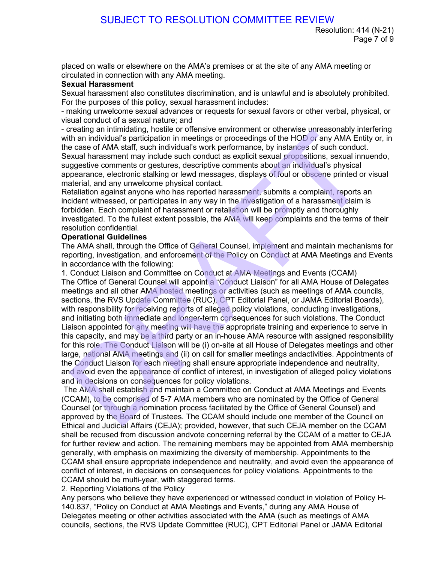placed on walls or elsewhere on the AMA's premises or at the site of any AMA meeting or circulated in connection with any AMA meeting.

## **Sexual Harassment**

Sexual harassment also constitutes discrimination, and is unlawful and is absolutely prohibited. For the purposes of this policy, sexual harassment includes:

- making unwelcome sexual advances or requests for sexual favors or other verbal, physical, or visual conduct of a sexual nature; and

- creating an intimidating, hostile or offensive environment or otherwise unreasonably interfering with an individual's participation in meetings or proceedings of the HOD or any AMA Entity or, in the case of AMA staff, such individual's work performance, by instances of such conduct.

Sexual harassment may include such conduct as explicit sexual propositions, sexual innuendo, suggestive comments or gestures, descriptive comments about an individual's physical appearance, electronic stalking or lewd messages, displays of foul or obscene printed or visual material, and any unwelcome physical contact.

Retaliation against anyone who has reported harassment, submits a complaint, reports an incident witnessed, or participates in any way in the investigation of a harassment claim is forbidden. Each complaint of harassment or retaliation will be promptly and thoroughly investigated. To the fullest extent possible, the AMA will keep complaints and the terms of their resolution confidential.

## **Operational Guidelines**

The AMA shall, through the Office of General Counsel, implement and maintain mechanisms for reporting, investigation, and enforcement of the Policy on Conduct at AMA Meetings and Events in accordance with the following:

1. Conduct Liaison and Committee on Conduct at AMA Meetings and Events (CCAM) The Office of General Counsel will appoint a "Conduct Liaison" for all AMA House of Delegates meetings and all other AMA hosted meetings or activities (such as meetings of AMA councils, sections, the RVS Update Committee (RUC), CPT Editorial Panel, or JAMA Editorial Boards), with responsibility for receiving reports of alleged policy violations, conducting investigations, and initiating both immediate and longer-term consequences for such violations. The Conduct Liaison appointed for any meeting will have the appropriate training and experience to serve in this capacity, and may be a third party or an in-house AMA resource with assigned responsibility for this role. The Conduct Liaison will be (i) on-site at all House of Delegates meetings and other large, national AMA meetings and (ii) on call for smaller meetings andactivities. Appointments of the Conduct Liaison for each meeting shall ensure appropriate independence and neutrality, and avoid even the appearance of conflict of interest, in investigation of alleged policy violations and in decisions on consequences for policy violations. SUBJECT TO RESOLUTION COMMITTEE REVIEW Resolution: 41<br>Pag<br>coed on walls or elsewhere on the AMA's premises or at the site of any AMA meeting clauded in connection<br>with any AMA meeting. The site of any AMA meeting could hav

The AMA shall establish and maintain a Committee on Conduct at AMA Meetings and Events (CCAM), to be comprised of 5-7 AMA members who are nominated by the Office of General Counsel (or through a nomination process facilitated by the Office of General Counsel) and approved by the Board of Trustees. The CCAM should include one member of the Council on Ethical and Judicial Affairs (CEJA); provided, however, that such CEJA member on the CCAM shall be recused from discussion andvote concerning referral by the CCAM of a matter to CEJA for further review and action. The remaining members may be appointed from AMA membership generally, with emphasis on maximizing the diversity of membership. Appointments to the CCAM shall ensure appropriate independence and neutrality, and avoid even the appearance of conflict of interest, in decisions on consequences for policy violations. Appointments to the CCAM should be multi-year, with staggered terms.

2. Reporting Violations of the Policy

Any persons who believe they have experienced or witnessed conduct in violation of Policy H-140.837, "Policy on Conduct at AMA Meetings and Events," during any AMA House of Delegates meeting or other activities associated with the AMA (such as meetings of AMA councils, sections, the RVS Update Committee (RUC), CPT Editorial Panel or JAMA Editorial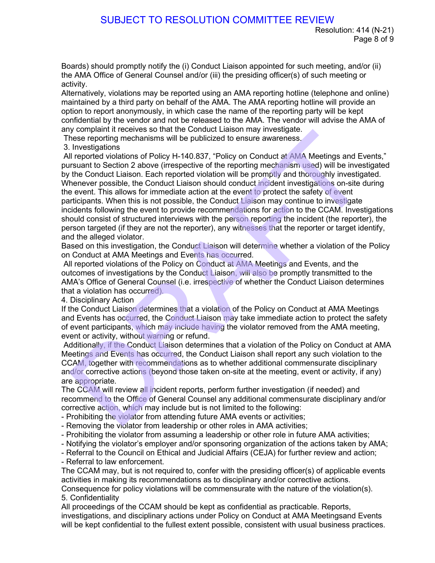Boards) should promptly notify the (i) Conduct Liaison appointed for such meeting, and/or (ii) the AMA Office of General Counsel and/or (iii) the presiding officer(s) of such meeting or activity.

Alternatively, violations may be reported using an AMA reporting hotline (telephone and online) maintained by a third party on behalf of the AMA. The AMA reporting hotline will provide an option to report anonymously, in which case the name of the reporting party will be kept confidential by the vendor and not be released to the AMA. The vendor will advise the AMA of any complaint it receives so that the Conduct Liaison may investigate.

These reporting mechanisms will be publicized to ensure awareness.

3. Investigations

All reported violations of Policy H-140.837, "Policy on Conduct at AMA Meetings and Events," pursuant to Section 2 above (irrespective of the reporting mechanism used) will be investigated by the Conduct Liaison. Each reported violation will be promptly and thoroughly investigated. Whenever possible, the Conduct Liaison should conduct incident investigations on-site during the event. This allows for immediate action at the event to protect the safety of event participants. When this is not possible, the Conduct Liaison may continue to investigate incidents following the event to provide recommendations for action to the CCAM. Investigations should consist of structured interviews with the person reporting the incident (the reporter), the person targeted (if they are not the reporter), any witnesses that the reporter or target identify, and the alleged violator. SUBJECT TO RESOLUTION COMMITTEE REVIEW Resolution: 41<br>Pag<br>ands) should promptly notify the (i) Conduct Liaison appointed for such meeting, and/<br>and AMA Office of General Coursel and/or (iii) the presiding officer(s) of suc

Based on this investigation, the Conduct Liaison will determine whether a violation of the Policy on Conduct at AMA Meetings and Events has occurred.

All reported violations of the Policy on Conduct at AMA Meetings and Events, and the outcomes of investigations by the Conduct Liaison, will also be promptly transmitted to the AMA's Office of General Counsel (i.e. irrespective of whether the Conduct Liaison determines that a violation has occurred).

4. Disciplinary Action

If the Conduct Liaison determines that a violation of the Policy on Conduct at AMA Meetings and Events has occurred, the Conduct Liaison may take immediate action to protect the safety of event participants, which may include having the violator removed from the AMA meeting, event or activity, without warning or refund.

Additionally, if the Conduct Liaison determines that a violation of the Policy on Conduct at AMA Meetings and Events has occurred, the Conduct Liaison shall report any such violation to the CCAM, together with recommendations as to whether additional commensurate disciplinary and/or corrective actions (beyond those taken on-site at the meeting, event or activity, if any) are appropriate.

The CCAM will review all incident reports, perform further investigation (if needed) and recommend to the Office of General Counsel any additional commensurate disciplinary and/or corrective action, which may include but is not limited to the following:

- Prohibiting the violator from attending future AMA events or activities;
- Removing the violator from leadership or other roles in AMA activities;
- Prohibiting the violator from assuming a leadership or other role in future AMA activities;

- Notifying the violator's employer and/or sponsoring organization of the actions taken by AMA;

- Referral to the Council on Ethical and Judicial Affairs (CEJA) for further review and action;

- Referral to law enforcement.

The CCAM may, but is not required to, confer with the presiding officer(s) of applicable events activities in making its recommendations as to disciplinary and/or corrective actions.

Consequence for policy violations will be commensurate with the nature of the violation(s). 5. Confidentiality

All proceedings of the CCAM should be kept as confidential as practicable. Reports, investigations, and disciplinary actions under Policy on Conduct at AMA Meetingsand Events will be kept confidential to the fullest extent possible, consistent with usual business practices.